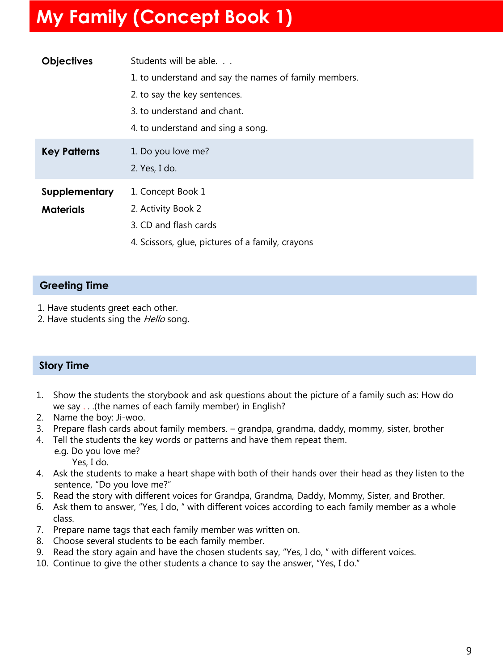# **My Family (Concept Book 1)**

| <b>Objectives</b>   | Students will be able.                                |
|---------------------|-------------------------------------------------------|
|                     | 1. to understand and say the names of family members. |
|                     | 2. to say the key sentences.                          |
|                     | 3. to understand and chant.                           |
|                     | 4. to understand and sing a song.                     |
| <b>Key Patterns</b> | 1. Do you love me?                                    |
|                     | 2. Yes, I do.                                         |
| Supplementary       | 1. Concept Book 1                                     |
| <b>Materials</b>    | 2. Activity Book 2                                    |
|                     | 3. CD and flash cards                                 |
|                     | 4. Scissors, glue, pictures of a family, crayons      |

# **Greeting Time**

- 1. Have students greet each other.
- 2. Have students sing the Hello song.

# **Story Time**

- 1. Show the students the storybook and ask questions about the picture of a family such as: How do we say . . .(the names of each family member) in English?
- 2. Name the boy: Ji-woo.
- 3. Prepare flash cards about family members. grandpa, grandma, daddy, mommy, sister, brother
- 4. Tell the students the key words or patterns and have them repeat them.
	- e.g. Do you love me? Yes, I do.
- 4. Ask the students to make a heart shape with both of their hands over their head as they listen to the sentence, "Do you love me?"
- 5. Read the story with different voices for Grandpa, Grandma, Daddy, Mommy, Sister, and Brother.
- 6. Ask them to answer, "Yes, I do, " with different voices according to each family member as a whole class.
- 7. Prepare name tags that each family member was written on.
- 8. Choose several students to be each family member.
- 9. Read the story again and have the chosen students say, "Yes, I do, " with different voices.
- 10. Continue to give the other students a chance to say the answer, "Yes, I do."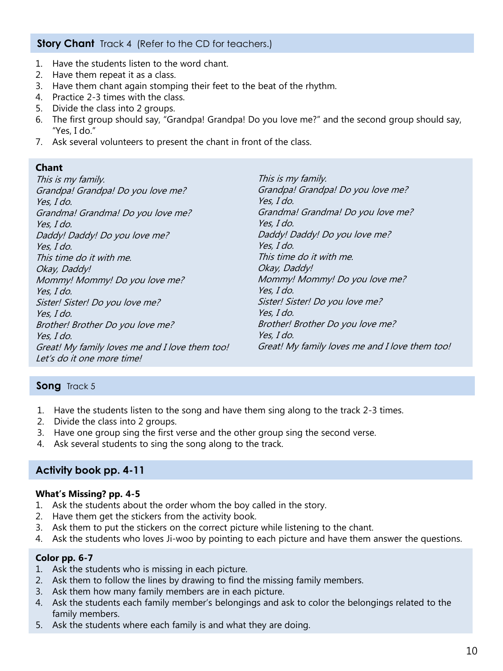## **Story Chant** Track 4 (Refer to the CD for teachers.)

- 1. Have the students listen to the word chant.
- 2. Have them repeat it as a class.
- 3. Have them chant again stomping their feet to the beat of the rhythm.
- 4. Practice 2-3 times with the class.
- 5. Divide the class into 2 groups.
- 6. The first group should say, "Grandpa! Grandpa! Do you love me?" and the second group should say, "Yes, I do."
- 7. Ask several volunteers to present the chant in front of the class.

#### **Chant**

This is my family. Grandpa! Grandpa! Do you love me? Yes, I do. Grandma! Grandma! Do you love me? Yes, I do. Daddy! Daddy! Do you love me? Yes, I do. This time do it with me. Okay, Daddy! Mommy! Mommy! Do you love me? Yes, I do. Sister! Sister! Do you love me? Yes, I do. Brother! Brother Do you love me? Yes, I do. Great! My family loves me and I love them too! Let's do it one more time! This is my family. Grandpa! Grandpa! Do you love me? Yes, I do. Grandma! Grandma! Do you love me? Yes, I do. Daddy! Daddy! Do you love me? Yes, I do. This time do it with me. Okay, Daddy! Mommy! Mommy! Do you love me? Yes, I do. Sister! Sister! Do you love me? Yes, I do. Brother! Brother Do you love me? Yes, I do. Great! My family loves me and I love them too!

#### Song Track 5

- 1. Have the students listen to the song and have them sing along to the track 2-3 times.
- 2. Divide the class into 2 groups.
- 3. Have one group sing the first verse and the other group sing the second verse.
- 4. Ask several students to sing the song along to the track.

# **Activity book pp. 4-11**

#### **What's Missing? pp. 4-5**

- 1. Ask the students about the order whom the boy called in the story.
- 2. Have them get the stickers from the activity book.
- 3. Ask them to put the stickers on the correct picture while listening to the chant.
- 4. Ask the students who loves Ji-woo by pointing to each picture and have them answer the questions.

#### **Color pp. 6-7**

- 1. Ask the students who is missing in each picture.
- 2. Ask them to follow the lines by drawing to find the missing family members.
- 3. Ask them how many family members are in each picture.
- 4. Ask the students each family member's belongings and ask to color the belongings related to the family members.
- 5. Ask the students where each family is and what they are doing.